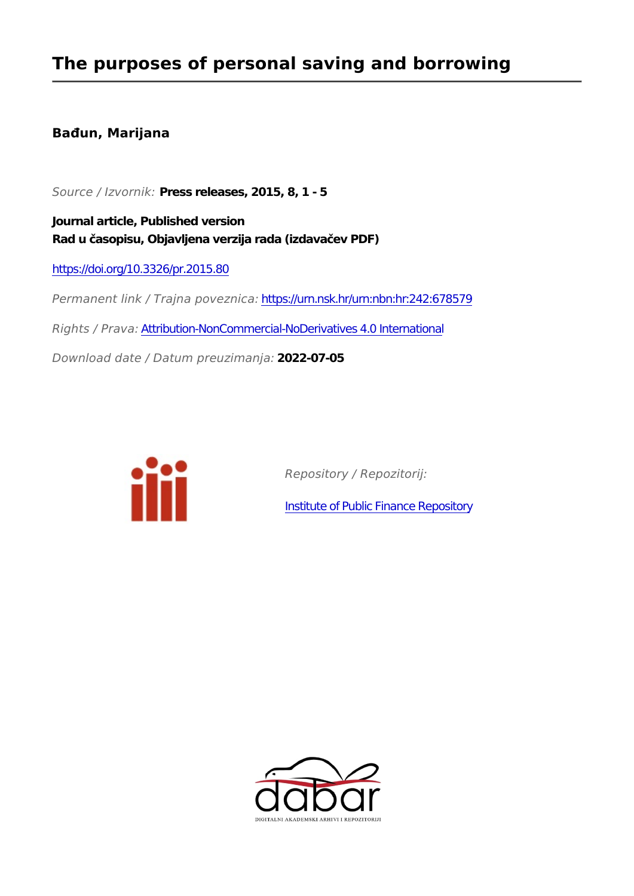### **The purposes of personal saving and borrowing**

### **Bađun, Marijana**

*Source / Izvornik:* **Press releases, 2015, 8, 1 - 5**

**Journal article, Published version Rad u časopisu, Objavljena verzija rada (izdavačev PDF)**

<https://doi.org/10.3326/pr.2015.80>

*Permanent link / Trajna poveznica:* <https://urn.nsk.hr/urn:nbn:hr:242:678579> *Rights / Prava:* [Attribution-NonCommercial-NoDerivatives 4.0 International](http://creativecommons.org/licenses/by-nc-nd/4.0/)

*Download date / Datum preuzimanja:* **2022-07-05**



*Repository / Repozitorij:*

[Institute of Public Finance Repository](https://repozitorij.ijf.hr)

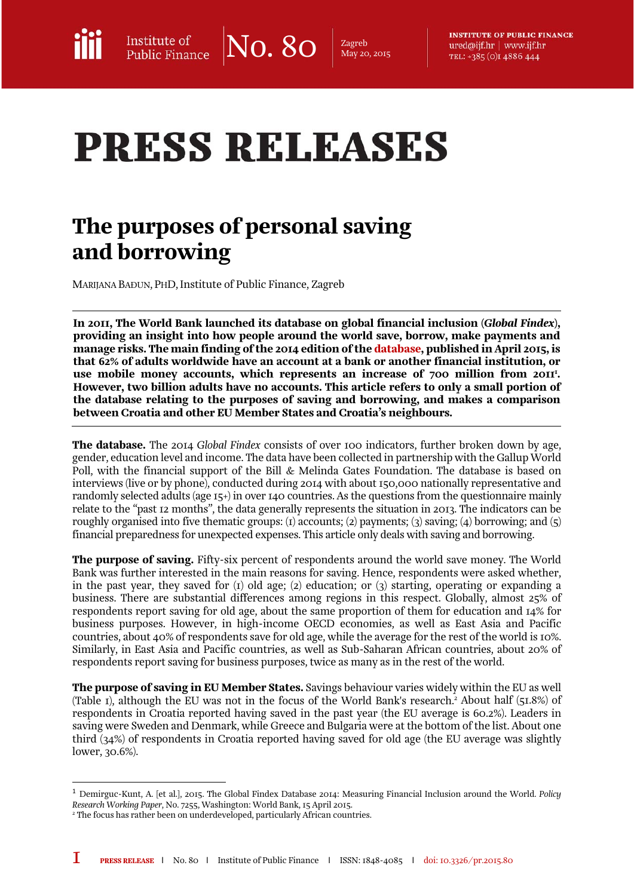$\overline{\text{No. 80}}$   $\overline{\text{2agreb}}$ May 20, 2015

**INSTITUTE OF PUBLIC FINANCE** ured@ijf.hr | www.ijf.hr TEL: +385 (O)I 4886 444

# **PRESS RELEASES**

## The purposes of personal saving and borrowing

MARIJANA BAĐUN, PHD, Institute of Public Finance, Zagreb

In 2011, The World Bank launched its database on global financial inclusion (*Global Findex*), providing an insight into how people around the world save, borrow, make payments and manage risks. The main finding of the 2014 edition of the [database,](http://www.worldbank.org/en/programs/globalfindex) published in April 2015, is that 62% of adults worldwide have an account at a bank or another financial institution, or use mobile money accounts, which represents an increase of  $700$  million from  $20$ II<sup>I</sup>. However, two billion adults have no accounts. This article refers to only a small portion of the database relating to the purposes of saving and borrowing, and makes a comparison between Croatia and other EU Member States and Croatia's neighbours.

The database. The 2014 *Global Findex* consists of over 100 indicators, further broken down by age, gender, education level and income. The data have been collected in partnership with the Gallup World Poll, with the financial support of the Bill & Melinda Gates Foundation. The database is based on interviews (live or by phone), conducted during 2014 with about 150,000 nationally representative and randomly selected adults (age  $I_5+$ ) in over 140 countries. As the questions from the questionnaire mainly relate to the "past 12 months", the data generally represents the situation in 2013. The indicators can be roughly organised into five thematic groups: (1) accounts; (2) payments; (3) saving; (4) borrowing; and (5) financial preparedness for unexpected expenses. This article only deals with saving and borrowing.

**The purpose of saving.** Fifty-six percent of respondents around the world save money. The World Bank was further interested in the main reasons for saving. Hence, respondents were asked whether, in the past year, they saved for (1) old age; (2) education; or (3) starting, operating or expanding a business. There are substantial differences among regions in this respect. Globally, almost 25% of respondents report saving for old age, about the same proportion of them for education and 14% for business purposes. However, in high-income OECD economies, as well as East Asia and Pacific countries, about 40% of respondents save for old age, while the average for the rest of the world is 10%. Similarly, in East Asia and Pacific countries, as well as Sub-Saharan African countries, about 20% of respondents report saving for business purposes, twice as many as in the rest of the world.

**The purpose of saving in EU Member States.** Savings behaviour varies widely within the EU as well (Table 1), although the EU was not in the focus of the World Bank's research.2 About half (51.8%) of respondents in Croatia reported having saved in the past year (the EU average is 60.2%). Leaders in saving were Sweden and Denmark, while Greece and Bulgaria were at the bottom of the list. About one third (34%) of respondents in Croatia reported having saved for old age (the EU average was slightly lower, 30.6%).

 $\overline{a}$ 

<sup>1</sup> Demirguc-Kunt, A. [et al.], 2015. The Global Findex Database 2014: Measuring Financial Inclusion around the World. *Policy Research Working Paper*, No. 7255, Washington: World Bank, 15 April 2015.

<sup>2</sup> The focus has rather been on underdeveloped, particularly African countries.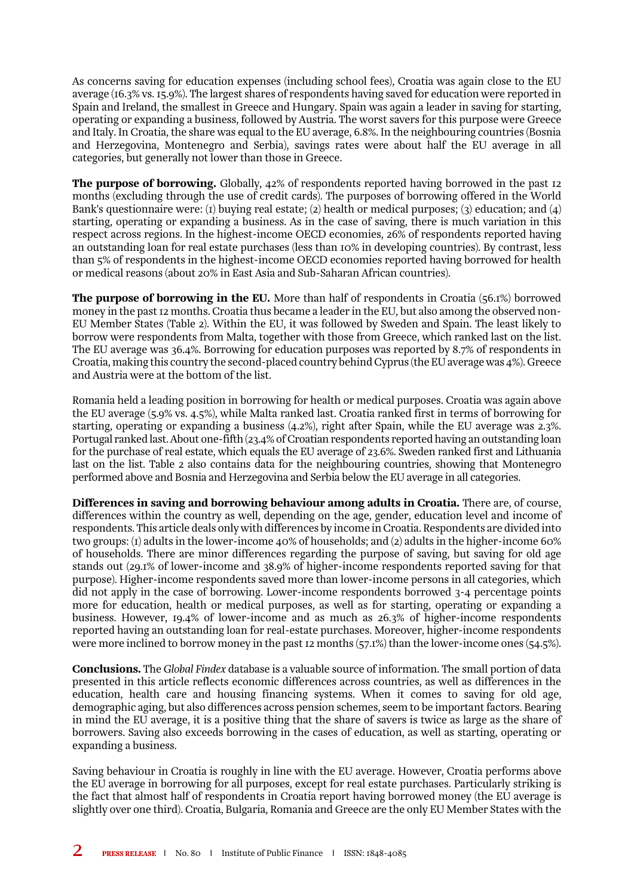As concerns saving for education expenses (including school fees), Croatia was again close to the EU average (16.3% vs. 15.9%). The largest shares of respondents having saved for education were reported in Spain and Ireland, the smallest in Greece and Hungary. Spain was again a leader in saving for starting, operating or expanding a business, followed by Austria. The worst savers for this purpose were Greece and Italy. In Croatia, the share was equal to the EU average, 6.8%. In the neighbouring countries (Bosnia and Herzegovina, Montenegro and Serbia), savings rates were about half the EU average in all categories, but generally not lower than those in Greece.

**The purpose of borrowing.** Globally, 42% of respondents reported having borrowed in the past 12 months (excluding through the use of credit cards). The purposes of borrowing offered in the World Bank's questionnaire were: (1) buying real estate; (2) health or medical purposes; (3) education; and (4) starting, operating or expanding a business. As in the case of saving, there is much variation in this respect across regions. In the highest-income OECD economies, 26% of respondents reported having an outstanding loan for real estate purchases (less than 10% in developing countries). By contrast, less than 5% of respondents in the highest-income OECD economies reported having borrowed for health or medical reasons (about 20% in East Asia and Sub-Saharan African countries).

**The purpose of borrowing in the EU.** More than half of respondents in Croatia (56.1%) borrowed money in the past 12 months. Croatia thus became a leader in the EU, but also among the observed non-EU Member States (Table 2). Within the EU, it was followed by Sweden and Spain. The least likely to borrow were respondents from Malta, together with those from Greece, which ranked last on the list. The EU average was 36.4%. Borrowing for education purposes was reported by 8.7% of respondents in Croatia, making this country the second-placed country behind Cyprus (the EU average was 4%). Greece and Austria were at the bottom of the list.

Romania held a leading position in borrowing for health or medical purposes. Croatia was again above the EU average (5.9% vs. 4.5%), while Malta ranked last. Croatia ranked first in terms of borrowing for starting, operating or expanding a business (4.2%), right after Spain, while the EU average was 2.3%. Portugal ranked last. About one-fifth (23.4% of Croatian respondents reported having an outstanding loan for the purchase of real estate, which equals the EU average of 23.6%. Sweden ranked first and Lithuania last on the list. Table 2 also contains data for the neighbouring countries, showing that Montenegro performed above and Bosnia and Herzegovina and Serbia below the EU average in all categories.

Differences in saving and borrowing behaviour among adults in Croatia. There are, of course, differences within the country as well, depending on the age, gender, education level and income of respondents. This article deals only with differences by income in Croatia. Respondents are divided into two groups: (1) adults in the lower-income 40% of households; and (2) adults in the higher-income 60% of households. There are minor differences regarding the purpose of saving, but saving for old age stands out (29.1% of lower-income and 38.9% of higher-income respondents reported saving for that purpose). Higher-income respondents saved more than lower-income persons in all categories, which did not apply in the case of borrowing. Lower-income respondents borrowed 3-4 percentage points more for education, health or medical purposes, as well as for starting, operating or expanding a business. However, 19.4% of lower-income and as much as 26.3% of higher-income respondents reported having an outstanding loan for real-estate purchases. Moreover, higher-income respondents were more inclined to borrow money in the past 12 months (57.1%) than the lower-income ones (54.5%).

Conclusions. The *Global Findex* database is a valuable source of information. The small portion of data presented in this article reflects economic differences across countries, as well as differences in the education, health care and housing financing systems. When it comes to saving for old age, demographic aging, but also differences across pension schemes, seem to be important factors. Bearing in mind the EU average, it is a positive thing that the share of savers is twice as large as the share of borrowers. Saving also exceeds borrowing in the cases of education, as well as starting, operating or expanding a business.

Saving behaviour in Croatia is roughly in line with the EU average. However, Croatia performs above the EU average in borrowing for all purposes, except for real estate purchases. Particularly striking is the fact that almost half of respondents in Croatia report having borrowed money (the EU average is slightly over one third). Croatia, Bulgaria, Romania and Greece are the only EU Member States with the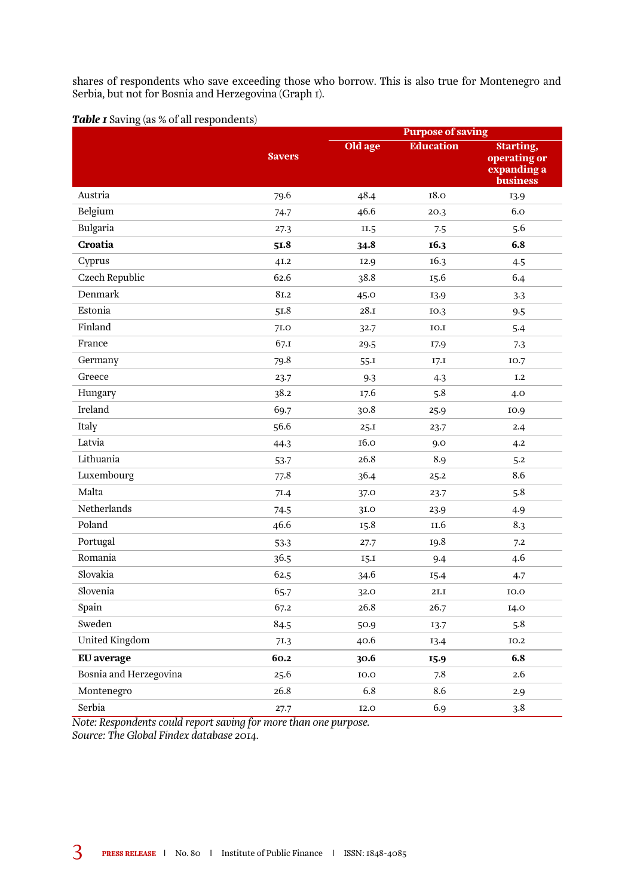shares of respondents who save exceeding those who borrow. This is also true for Montenegro and Serbia, but not for Bosnia and Herzegovina (Graph 1).

**Table 1** Saving (as % of all respondents)

| $\circ$                |               | <b>Purpose of saving</b> |                  |                                                                    |
|------------------------|---------------|--------------------------|------------------|--------------------------------------------------------------------|
|                        | <b>Savers</b> | Old age                  | <b>Education</b> | <b>Starting,</b><br>operating or<br>expanding a<br><b>business</b> |
| Austria                | 79.6          | 48.4                     | <b>18.0</b>      | 13.9                                                               |
| Belgium                | 74.7          | 46.6                     | 20.3             | 6.0                                                                |
| Bulgaria               | 27.3          | II.5                     | 7.5              | 5.6                                                                |
| <b>Croatia</b>         | 51.8          | 34.8                     | 16.3             | 6.8                                                                |
| Cyprus                 | 41.2          | 12.9                     | 16.3             | 4.5                                                                |
| <b>Czech Republic</b>  | 62.6          | 38.8                     | 15.6             | 6.4                                                                |
| Denmark                | 81.2          | 45.0                     | 13.9             | 3.3                                                                |
| Estonia                | 51.8          | 28.1                     | 10.3             | 9.5                                                                |
| Finland                | 7I.O          | 32.7                     | IO.I             | 5.4                                                                |
| France                 | 67.1          | 29.5                     | 17.9             | 7.3                                                                |
| Germany                | 79.8          | 55.1                     | 17.1             | 10.7                                                               |
| Greece                 | 23.7          | 9.3                      | 4.3              | I.2                                                                |
| Hungary                | 38.2          | 17.6                     | 5.8              | 4.0                                                                |
| Ireland                | 69.7          | 30.8                     | 25.9             | 10.9                                                               |
| Italy                  | 56.6          | 25.1                     | 23.7             | 2.4                                                                |
| Latvia                 | 44.3          | 16.0                     | 9.0              | 4.2                                                                |
| Lithuania              | 53.7          | 26.8                     | 8.9              | 5.2                                                                |
| Luxembourg             | 77.8          | 36.4                     | 25.2             | 8.6                                                                |
| Malta                  | 7I.4          | 37.0                     | 23.7             | 5.8                                                                |
| Netherlands            | 74.5          | 31.O                     | 23.9             | 4.9                                                                |
| Poland                 | 46.6          | 15.8                     | II.6             | 8.3                                                                |
| Portugal               | 53.3          | 27.7                     | 19.8             | 7.2                                                                |
| Romania                | 36.5          | 15.1                     | 9.4              | 4.6                                                                |
| Slovakia               | 62.5          | 34.6                     | 15.4             | 4.7                                                                |
| Slovenia               | 65.7          | 32.0                     | 2I.I             | 10.0                                                               |
| Spain                  | 67.2          | 26.8                     | 26.7             | 14.0                                                               |
| Sweden                 | 84.5          | 50.9                     | 13.7             | 5.8                                                                |
| <b>United Kingdom</b>  | 71.3          | 40.6                     | 13.4             | <b>IO.2</b>                                                        |
| <b>EU</b> average      | 60.2          | 30.6                     | 15.9             | 6.8                                                                |
| Bosnia and Herzegovina | 25.6          | 10.0                     | 7.8              | 2.6                                                                |
| Montenegro             | 26.8          | 6.8                      | 8.6              | 2.9                                                                |
| Serbia                 | 27.7          | <b>I2.0</b>              | 6.9              | 3.8                                                                |

*Note: Respondents could report saving for more than one purpose. Source: The Global Findex database 2014.*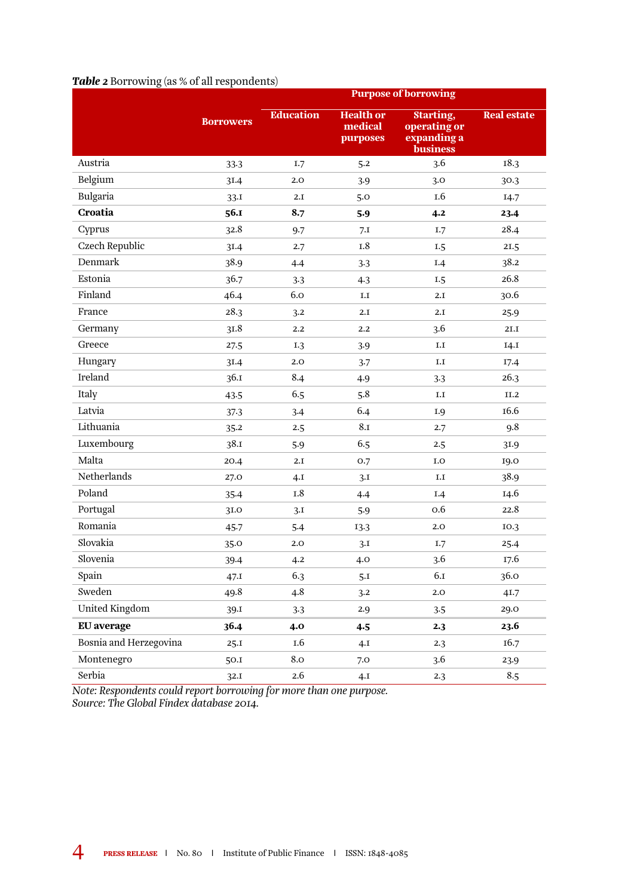### **Borrowers** Purpose of borrowing Education Health or medical purposes Starting, operating or expanding a business Real estate Austria 33.3 1.7 5.2 3.6 18.3 Belgium 31.4 2.0 3.9 3.0 30.3 Bulgaria 33.1 2.1 5.0 1.6 14.7 Croatia 56.1 8.7 5.9 4.2 23.4 Cyprus 32.8 9.7 7.1 1.7 28.4 Czech Republic 31.4 2.7 1.8 1.5 21.5 Denmark 38.9 4.4 3.3 1.4 38.2 Estonia 36.7 3.3 4.3 1.5 26.8 Finland 46.4 6.0 1.1 2.1 30.6 France 28.3 3.2 2.1 2.1 25.9 Germany 31.8 2.2 2.2 3.6 21.1 Greece 27.5 1.3 3.9 1.1 14.1 Hungary 31.4 2.0 3.7 1.1 17.4 Ireland 36.1 8.4 4.9 3.3 26.3 Italy 43.5 6.5 5.8 1.1 11.2 Latvia 37.3 3.4 6.4 1.9 16.6 Lithuania 35.2 2.5 8.1 2.7 9.8 Luxembourg 38.1 5.9 6.5 2.5 31.9 Malta 20.4 2.1 0.7 1.0 19.0 Netherlands 27.0 4.1 3.1 1.1 38.9 Poland 35.4 1.8 4.4 1.4 14.6 Portugal 31.0 3.1 5.9 0.6 22.8 Romania 45.7 5.4 13.3 2.0 10.3 Slovakia 35.0 2.0 3.1 1.7 25.4 Slovenia 39.4 4.2 4.0 3.6 17.6 Spain 47.1 6.3 5.1 6.1 36.0 Sweden 49.8 4.8 3.2 2.0 41.7 United Kingdom 39.1 3.3 2.9 3.5 29.0

EU average 36.4 4.0 4.5 2.3 23.6 Bosnia and Herzegovina 25.1 1.6 4.1 2.3 16.7 Montenegro 50.1 8.0 7.0 3.6 23.9

### *Table 2* Borrowing (as % of all respondents)

Serbia 32.1 2.6 4.1 2.3 8.5 *Note: Respondents could report borrowing for more than one purpose. Source: The Global Findex database 2014.*